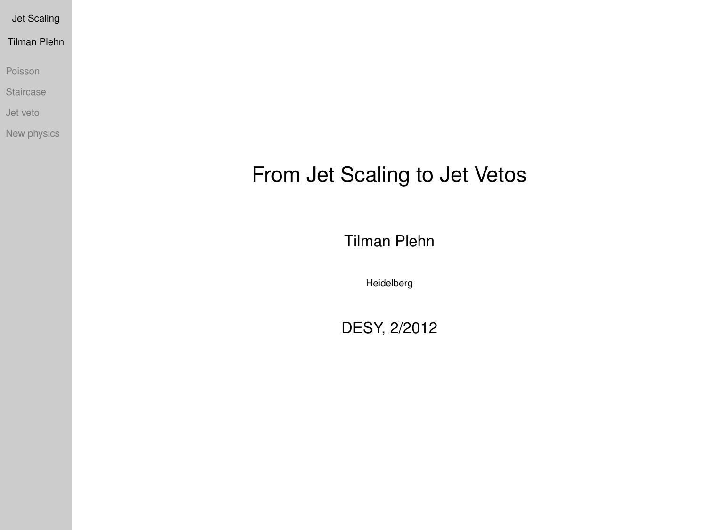Tilman Plehn

[Poisson](#page-4-0)

**[Staircase](#page-5-0)** 

[Jet veto](#page-11-0)

<span id="page-0-0"></span>[New physics](#page-17-0)

# From Jet Scaling to Jet Vetos

Tilman Plehn

Heidelberg

DESY, 2/2012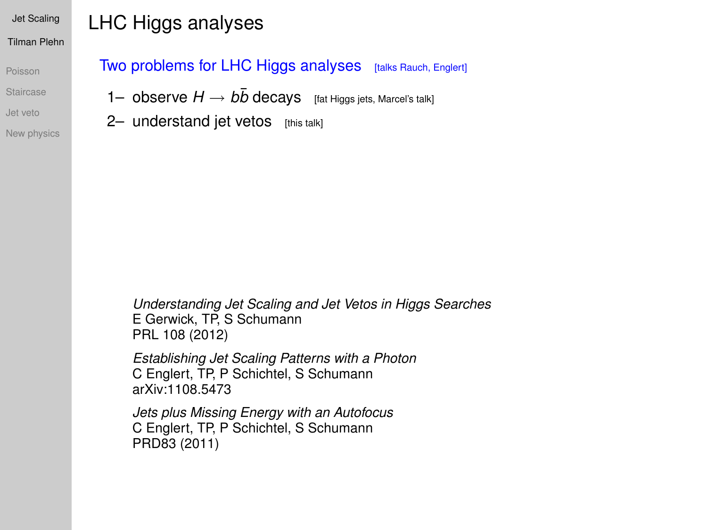[Poisson](#page-4-0) **[Staircase](#page-5-0)** 

[Jet veto](#page-11-0)

[New physics](#page-17-0)

## LHC Higgs analyses

Two problems for LHC Higgs analyses [talks Rauch, Englert]

1– observe  $H \rightarrow b\bar{b}$  decays [fat Higgs jets, Marcel's talk]

2- understand jet vetos [this talk]

*Understanding Jet Scaling and Jet Vetos in Higgs Searches* E Gerwick, TP, S Schumann PRL 108 (2012)

*Establishing Jet Scaling Patterns with a Photon* C Englert, TP, P Schichtel, S Schumann arXiv:1108.5473

*Jets plus Missing Energy with an Autofocus* C Englert, TP, P Schichtel, S Schumann PRD83 (2011)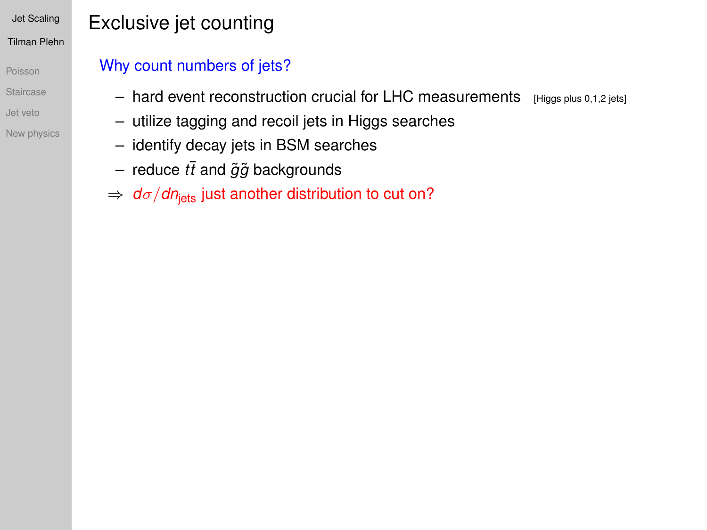- [Poisson](#page-4-0) **[Staircase](#page-5-0)** [Jet veto](#page-11-0)
- [New physics](#page-17-0)

# Exclusive jet counting

## Why count numbers of jets?

- $-$  hard event reconstruction crucial for LHC measurements [Higgs plus 0,1,2 jets]
- utilize tagging and recoil jets in Higgs searches
- identify decay jets in BSM searches
- $-$  reduce  $t\bar{t}$  and  $\tilde{g}\tilde{g}$  backgrounds
- $\Rightarrow$   $d\sigma/dn_{\text{jets}}$  just another distribution to cut on?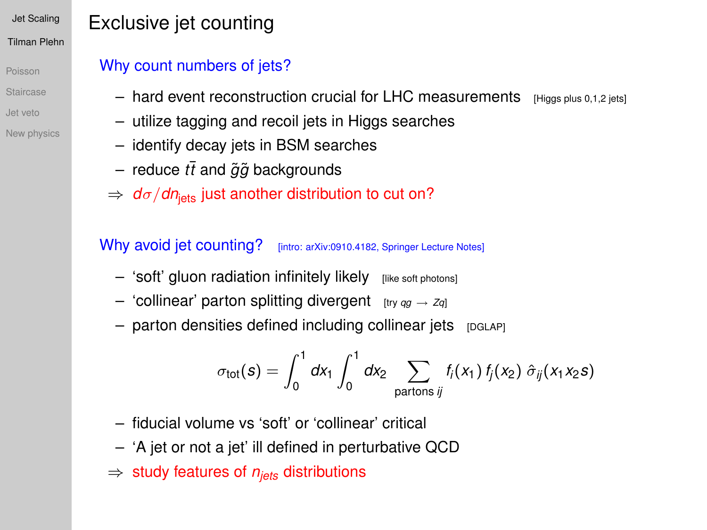[Poisson](#page-4-0) [Staircase](#page-5-0) [Jet veto](#page-11-0)

#### [New physics](#page-17-0)

# Exclusive jet counting

### Why count numbers of jets?

- $-$  hard event reconstruction crucial for LHC measurements  $\frac{1}{\text{Higgs plus 0.1.2 jets}}$
- utilize tagging and recoil jets in Higgs searches
- identify decay jets in BSM searches
- $-$  reduce  $t\bar{t}$  and  $\tilde{g}\tilde{g}$  backgrounds
- $\Rightarrow$   $d\sigma/dn_{\text{lets}}$  just another distribution to cut on?

### Why avoid jet counting? [intro: arXiv:0910.4182, Springer Lecture Notes]

- $-$  'soft' gluon radiation infinitely likely  $[like]$  [like soft photons]
- $-$  'collinear' parton splitting divergent  $[tr<sub>y</sub> qg \rightarrow Zq]$
- $-$  parton densities defined including collinear jets  $[DAAP]$

$$
\sigma_{\text{tot}}(s) = \int_0^1 dx_1 \int_0^1 dx_2 \sum_{\text{partons }ij} f_i(x_1) f_j(x_2) \hat{\sigma}_{ij}(x_1x_2s)
$$

- fiducial volume vs 'soft' or 'collinear' critical
- 'A jet or not a jet' ill defined in perturbative QCD
- ⇒ study features of *njets* distributions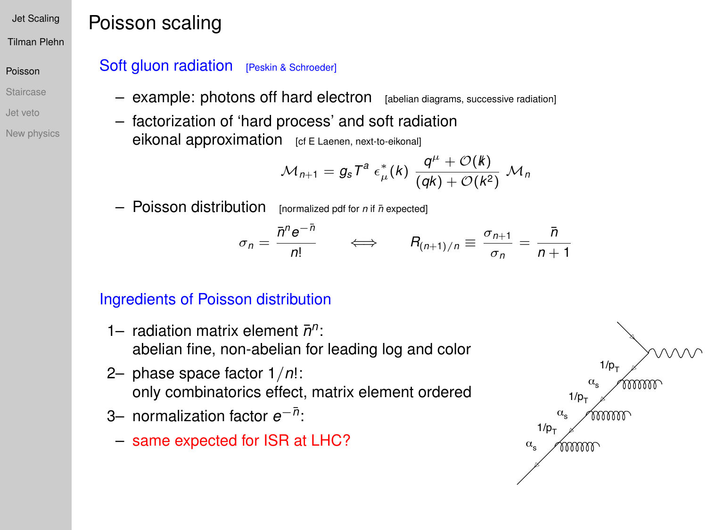Tilman Plehn

#### [Poisson](#page-4-0)

- [Staircase](#page-5-0)
- [Jet veto](#page-11-0)
- [New physics](#page-17-0)

## Poisson scaling

### Soft gluon radiation [Peskin & Schroeder]

- example: photons off hard electron [abelian diagrams, successive radiation]
- factorization of 'hard process' and soft radiation eikonal approximation [cf E Laenen, next-to-eikonal]

$$
\mathcal{M}_{n+1} = g_s T^a \varepsilon^*_{\mu}(k) \frac{q^{\mu} + \mathcal{O}(k)}{(qk) + \mathcal{O}(k^2)} \mathcal{M}_n
$$

 $-$  Poisson distribution [normalized pdf for *n* if  $\bar{n}$  expected]

$$
\sigma_n = \frac{\bar{n}^n e^{-\bar{n}}}{n!} \qquad \Longleftrightarrow \qquad R_{(n+1)/n} \equiv \frac{\sigma_{n+1}}{\sigma_n} = \frac{\bar{n}}{n+1}
$$

### Ingredients of Poisson distribution

- 1- radiation matrix element  $\bar{n}^n$ : abelian fine, non-abelian for leading log and color
- 2– phase space factor 1/*n*!: only combinatorics effect, matrix element ordered
- 3− normalization factor *e*<sup>−*n*</sup>:
- <span id="page-4-0"></span>– same expected for ISR at LHC?

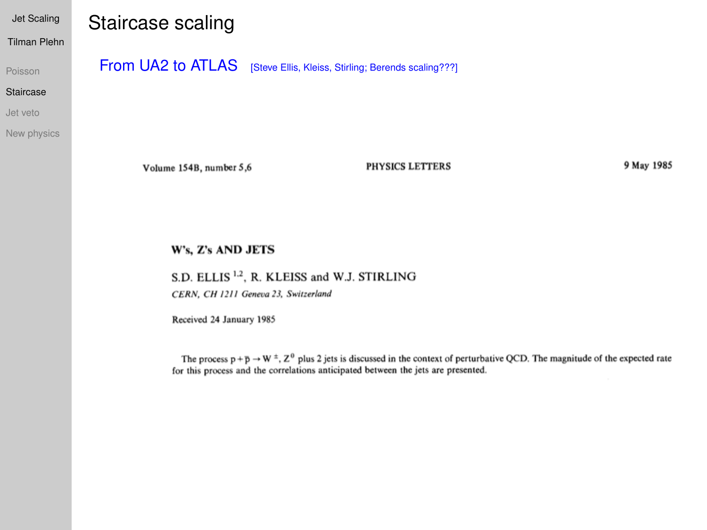Tilman Plehn

[Poisson](#page-4-0)

#### [Staircase](#page-5-0)

[Jet veto](#page-11-0)

[New physics](#page-17-0)

## Staircase scaling

From UA2 to ATLAS [Steve Ellis, Kleiss, Stirling; Berends scaling???]

Volume 154B, number 5,6

PHYSICS LETTERS

9 May 1985

#### W's, Z's AND JETS

S.D. ELLIS<sup>1,2</sup>, R. KLEISS and W.J. STIRLING

CERN, CH 1211 Geneva 23, Switzerland

Received 24 January 1985

<span id="page-5-0"></span>The process  $p + p \rightarrow W^{\pm}$ ,  $Z^0$  plus 2 jets is discussed in the context of perturbative QCD. The magnitude of the expected rate for this process and the correlations anticipated between the jets are presented.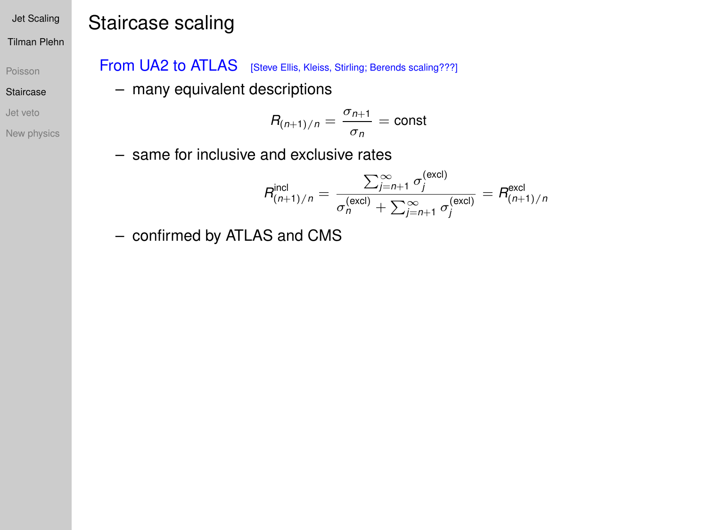#### Tilman Plehn

[Poisson](#page-4-0)

#### [Staircase](#page-5-0)

[Jet veto](#page-11-0)

[New physics](#page-17-0)

# Staircase scaling

### From UA2 to ATLAS [Steve Ellis, Kleiss, Stirling; Berends scaling???]

– many equivalent descriptions

$$
R_{(n+1)/n} = \frac{\sigma_{n+1}}{\sigma_n} = \text{const}
$$

– same for inclusive and exclusive rates

$$
R_{(n+1)/n}^{\text{incl}} = \frac{\sum_{j=n+1}^{\infty} \sigma_j^{\text{(excl)}}}{\sigma_n^{\text{(excl)}} + \sum_{j=n+1}^{\infty} \sigma_j^{\text{(excl)}}} = R_{(n+1)/n}^{\text{excl}}
$$

– confirmed by ATLAS and CMS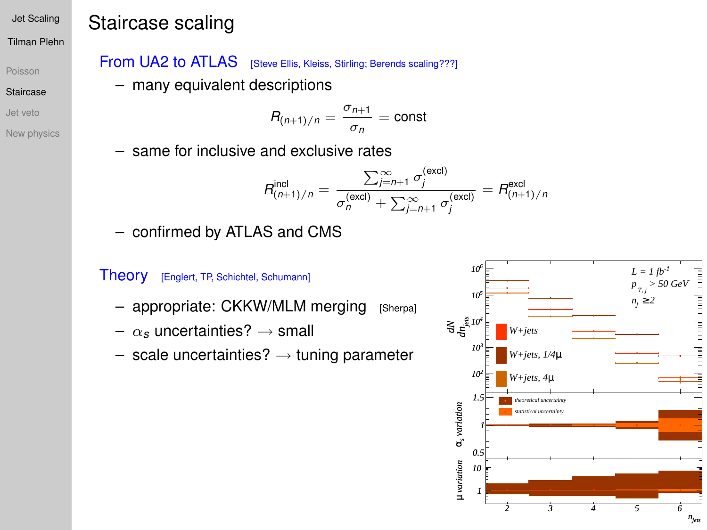#### Tilman Plehn

[Poisson](#page-4-0)

[Staircase](#page-5-0)

[Jet veto](#page-11-0)

[New physics](#page-17-0)

# Staircase scaling

From UA2 to ATLAS [Steve Ellis, Kleiss, Stirling; Berends scaling???]

– many equivalent descriptions

$$
R_{(n+1)/n} = \frac{\sigma_{n+1}}{\sigma_n} = \text{const}
$$

– same for inclusive and exclusive rates

$$
R_{(n+1)/n}^{\text{incl}} = \frac{\sum_{j=n+1}^{\infty} \sigma_j^{\text{(excl)}}}{\sigma_n^{\text{(excl)}} + \sum_{j=n+1}^{\infty} \sigma_j^{\text{(excl)}}} = R_{(n+1)/n}^{\text{excl}}
$$

– confirmed by ATLAS and CMS

### Theory [Englert, TP, Schichtel, Schumann]

- appropriate: CKKW/MLM merging [Sherpa]
- $\alpha_s$  uncertainties?  $\rightarrow$  small
- $-$  scale uncertainties?  $\rightarrow$  tuning parameter

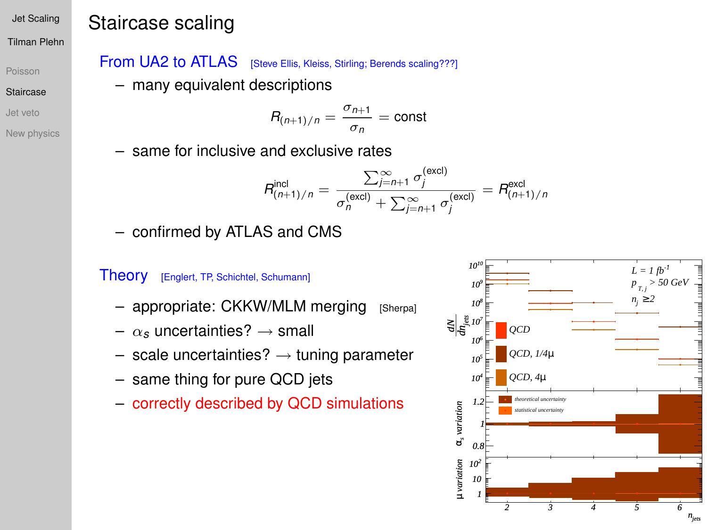#### Tilman Plehn

[Poisson](#page-4-0)

- [Staircase](#page-5-0)
- [Jet veto](#page-11-0)
- [New physics](#page-17-0)

# Staircase scaling

From UA2 to ATLAS [Steve Ellis, Kleiss, Stirling; Berends scaling???]

– many equivalent descriptions

$$
R_{(n+1)/n} = \frac{\sigma_{n+1}}{\sigma_n} = \text{const}
$$

– same for inclusive and exclusive rates

$$
R_{(n+1)/n}^{\text{incl}} = \frac{\sum_{j=n+1}^{\infty} \sigma_j^{\text{(excl)}}}{\sigma_n^{\text{(excl)}} + \sum_{j=n+1}^{\infty} \sigma_j^{\text{(excl)}}} = R_{(n+1)/n}^{\text{excl}}
$$

– confirmed by ATLAS and CMS

### Theory [Englert, TP, Schichtel, Schumann]

- appropriate: CKKW/MLM merging [Sherpa]
- $\alpha_s$  uncertainties?  $\rightarrow$  small
- $-$  scale uncertainties?  $\rightarrow$  tuning parameter
- same thing for pure QCD jets
- correctly described by QCD simulations

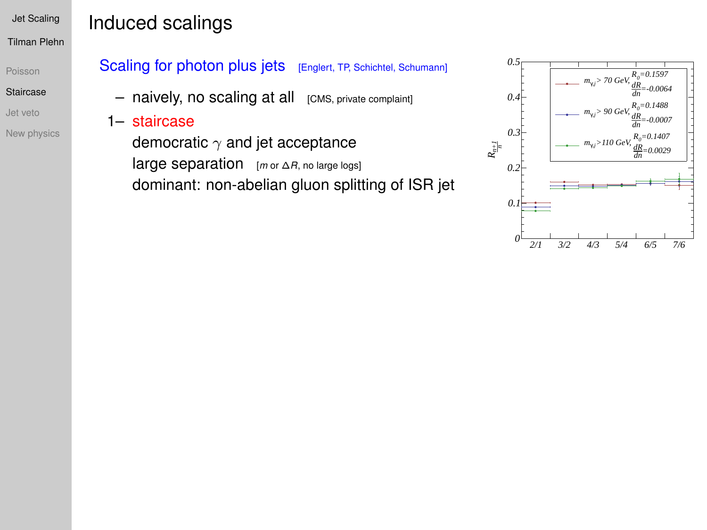#### [Poisson](#page-4-0)

#### [Staircase](#page-5-0)

- [Jet veto](#page-11-0)
- [New physics](#page-17-0)

# Induced scalings

### Scaling for photon plus jets [Englert, TP, Schichtel, Schumann]

- $-$  naively, no scaling at all  $[CMS, private\text{ complement}]$
- 1– staircase

democratic  $\gamma$  and jet acceptance large separation [*<sup>m</sup>* or <sup>∆</sup>*R*, no large logs] dominant: non-abelian gluon splitting of ISR jet

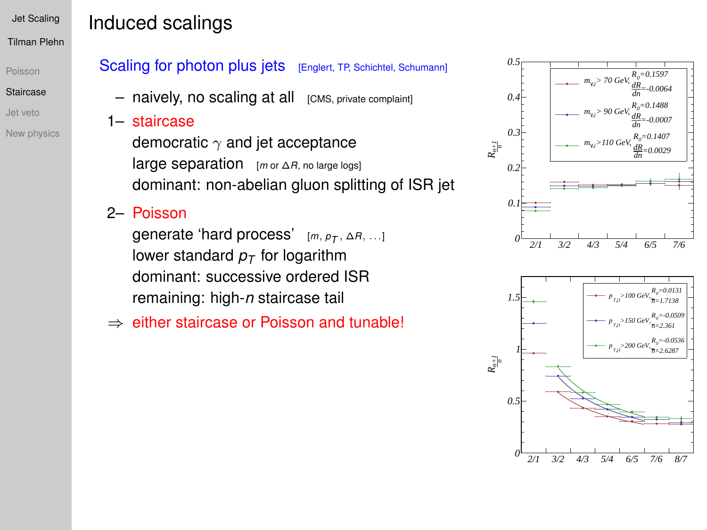#### [Poisson](#page-4-0)

#### [Staircase](#page-5-0)

- [Jet veto](#page-11-0)
- [New physics](#page-17-0)

# Induced scalings

### Scaling for photon plus jets [Englert, TP, Schichtel, Schumann]

- $-$  naively, no scaling at all  $[CMS, private combination]$
- 1– staircase
	- democratic  $\gamma$  and jet acceptance large separation [*<sup>m</sup>* or <sup>∆</sup>*R*, no large logs] dominant: non-abelian gluon splitting of ISR jet

## 2– Poisson

generate 'hard process' [*m*, *pT* , ∆*R*, ...] lower standard  $p<sub>T</sub>$  for logarithm dominant: successive ordered ISR remaining: high-*n* staircase tail

⇒ either staircase or Poisson and tunable!



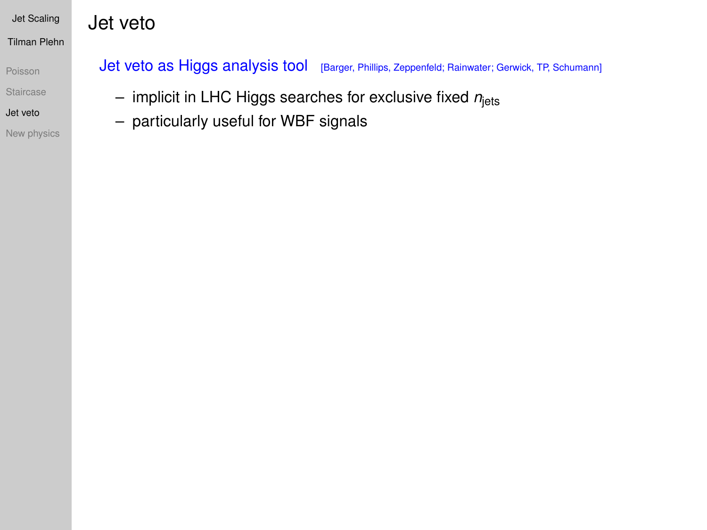Jet veto

[Poisson](#page-4-0)

**[Staircase](#page-5-0)** 

[Jet veto](#page-11-0)

<span id="page-11-0"></span>[New physics](#page-17-0)

Jet veto as Higgs analysis tool [Barger, Phillips, Zeppenfeld; Rainwater; Gerwick, TP, Schumann]

- implicit in LHC Higgs searches for exclusive fixed *n*jets
- particularly useful for WBF signals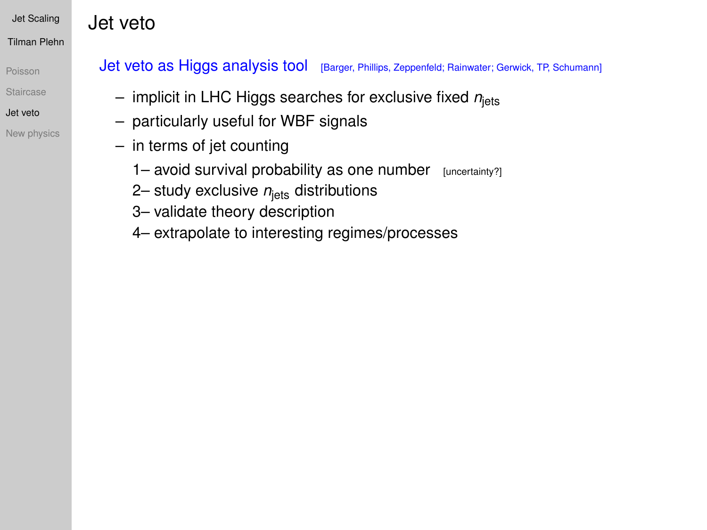Jet veto

[Poisson](#page-4-0)

**[Staircase](#page-5-0)** 

[Jet veto](#page-11-0)

[New physics](#page-17-0)

### Jet veto as Higgs analysis tool [Barger, Phillips, Zeppenfeld; Rainwater; Gerwick, TP, Schumann]

- implicit in LHC Higgs searches for exclusive fixed *n*jets
- particularly useful for WBF signals
- in terms of jet counting
	- 1– avoid survival probability as one number [uncertainty?]
	- 2– study exclusive  $n_{\text{lets}}$  distributions
	- 3– validate theory description
	- 4– extrapolate to interesting regimes/processes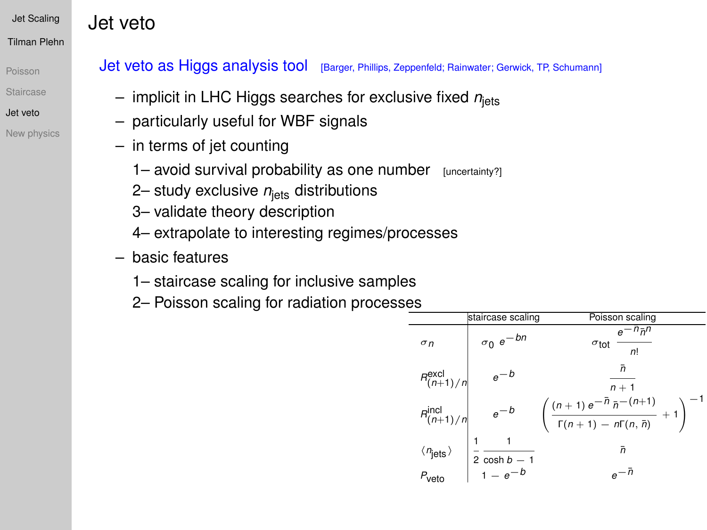Jet veto

[Poisson](#page-4-0)

- **[Staircase](#page-5-0)**
- [Jet veto](#page-11-0)
- [New physics](#page-17-0)

### Jet veto as Higgs analysis tool [Barger, Phillips, Zeppenfeld; Rainwater; Gerwick, TP, Schumann]

- $-$  implicit in LHC Higgs searches for exclusive fixed  $n_{\text{jets}}$
- particularly useful for WBF signals
- in terms of jet counting
	- 1– avoid survival probability as one number [uncertainty?]
	- 2– study exclusive  $n_{\text{lets}}$  distributions
	- 3– validate theory description
	- 4– extrapolate to interesting regimes/processes
- basic features
	- 1– staircase scaling for inclusive samples
	- 2– Poisson scaling for radiation processes

|                                                     | staircase scaling                        | Poisson scaling                                                                           |
|-----------------------------------------------------|------------------------------------------|-------------------------------------------------------------------------------------------|
| $\sigma$ n                                          | $\sigma_0$ $e^{-bn}$                     | $e^{-n}$ $\bar{n}$ <sup>n</sup><br>$\sigma_{\rm tot}$<br>n <sup>1</sup>                   |
| $R_{(n+1)/n}^{\text{excl}}$                         |                                          | ñ<br>$n + 1$                                                                              |
| $R_{(n+1)/n}^{\text{incl}}$                         | $e^{-b}$                                 | $\left(\frac{(n+1)e^{-\bar{n}}\bar{n}^{-(n+1)}}{\Gamma(n+1)-n\Gamma(n,\bar{n})}+1\right)$ |
| $\langle n_{\text{jets}} \rangle$ $P_{\text{veto}}$ |                                          | ñ                                                                                         |
|                                                     | $2 \cosh \overline{b-1}$<br>$1 - e^{-b}$ |                                                                                           |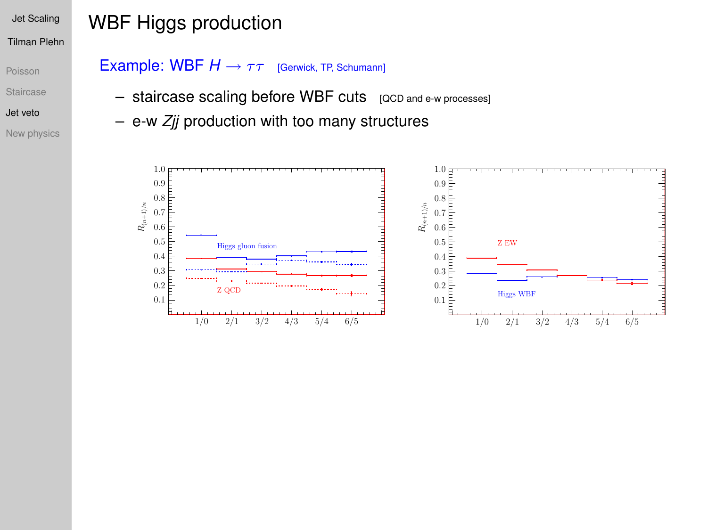#### [Poisson](#page-4-0)

#### **[Staircase](#page-5-0)**

#### [Jet veto](#page-11-0)

[New physics](#page-17-0)

# WBF Higgs production

### Example: WBF  $H \rightarrow \tau \tau$  [Gerwick, TP, Schumann]

- staircase scaling before WBF cuts [QCD and e-w processes]
- e-w *Zjj* production with too many structures

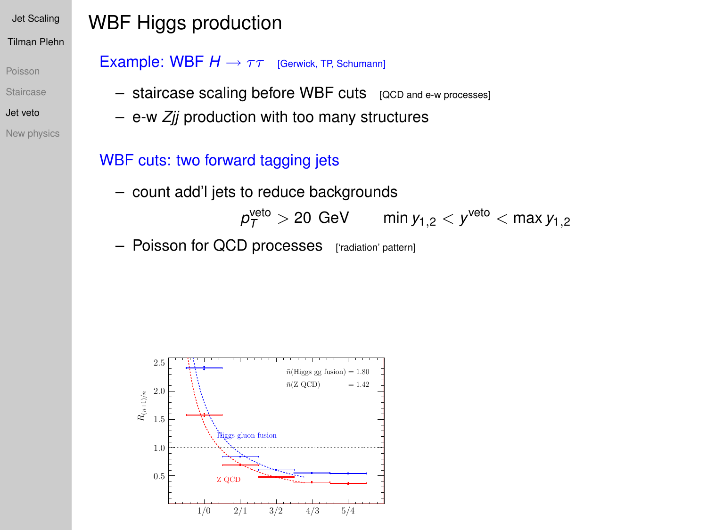[Poisson](#page-4-0)

- [Staircase](#page-5-0)
- [Jet veto](#page-11-0)
- [New physics](#page-17-0)

# WBF Higgs production

### Example: WBF *H* → ττ [Gerwick, TP, Schumann]

- staircase scaling before WBF cuts [QCD and e-w processes]
- e-w *Zjj* production with too many structures

## WBF cuts: two forward tagging jets

- count add'l jets to reduce backgrounds
	- $\rho_{\mathcal{T}}^{\text{veto}}>$  20 GeV  $\qquad \min y_{1,2} < y^{\text{veto}} < \max y_{1,2}$
- Poisson for QCD processes ['radiation' pattern]

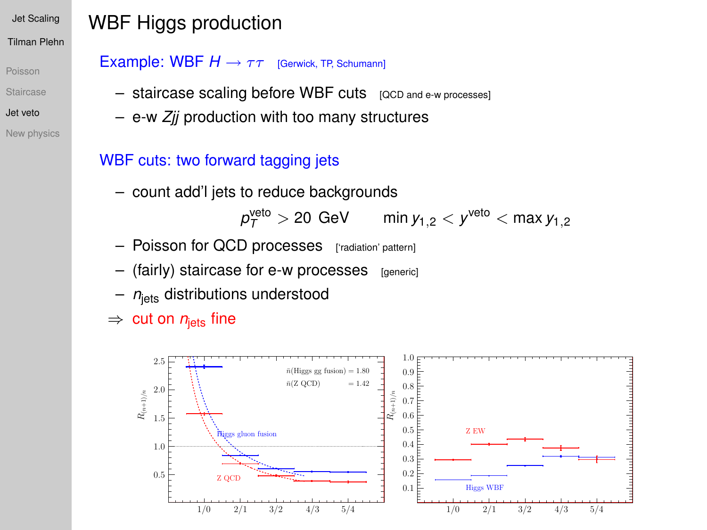[Poisson](#page-4-0)

#### [Staircase](#page-5-0)

- [Jet veto](#page-11-0)
- [New physics](#page-17-0)

# WBF Higgs production

### Example: WBF *H* → ττ [Gerwick, TP, Schumann]

- staircase scaling before WBF cuts [QCD and e-w processes]
- e-w *Zjj* production with too many structures

## WBF cuts: two forward tagging jets

– count add'l jets to reduce backgrounds

 $\rho_{\mathcal{T}}^{\text{veto}}>$  20 GeV  $\qquad \min y_{1,2} < y^{\text{veto}} < \max y_{1,2}$ 

- Poisson for QCD processes ['radiation' pattern]
- (fairly) staircase for e-w processes [generic]
- $n_{\text{lets}}$  distributions understood

 $\Rightarrow$  cut on  $n_{\text{lets}}$  fine

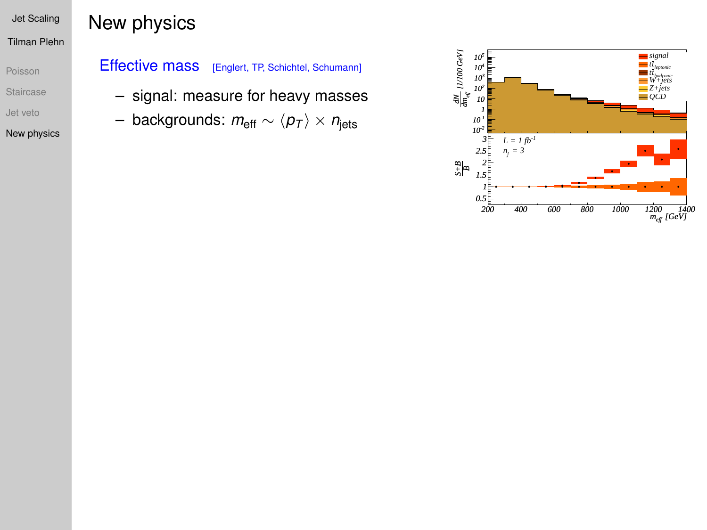[Poisson](#page-4-0) [Staircase](#page-5-0)

[Jet veto](#page-11-0)

<span id="page-17-0"></span>[New physics](#page-17-0)

## New physics

### Effective mass [Englert, TP, Schichtel, Schumann]

- signal: measure for heavy masses
- $-$  backgrounds:  $m_{\text{eff}} \sim \langle p_T \rangle \times n_{\text{jets}}$

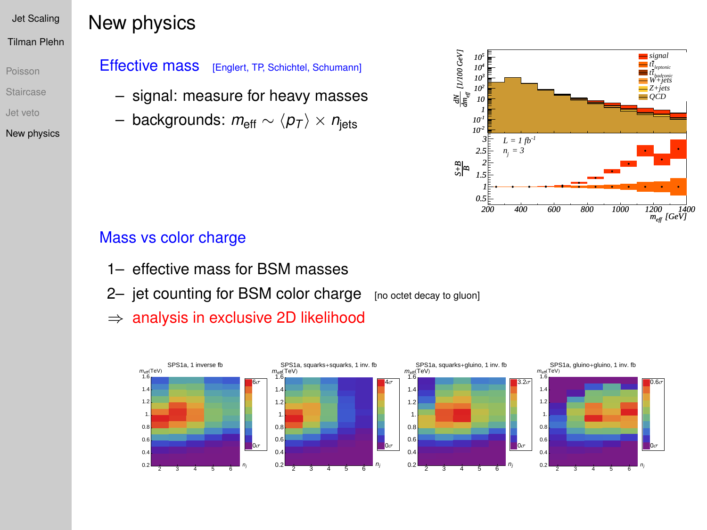[Poisson](#page-4-0) [Staircase](#page-5-0) [Jet veto](#page-11-0)

[New physics](#page-17-0)

## New physics

### Effective mass [Englert, TP, Schichtel, Schumann]

- signal: measure for heavy masses
- $−$  backgrounds:  $m_{\text{eff}} \sim \langle p_{\text{T}} \rangle \times n_{\text{jets}}$



### Mass vs color charge

- 1– effective mass for BSM masses
- 2- jet counting for BSM color charge [no octet decay to gluon]
- $\Rightarrow$  analysis in exclusive 2D likelihood